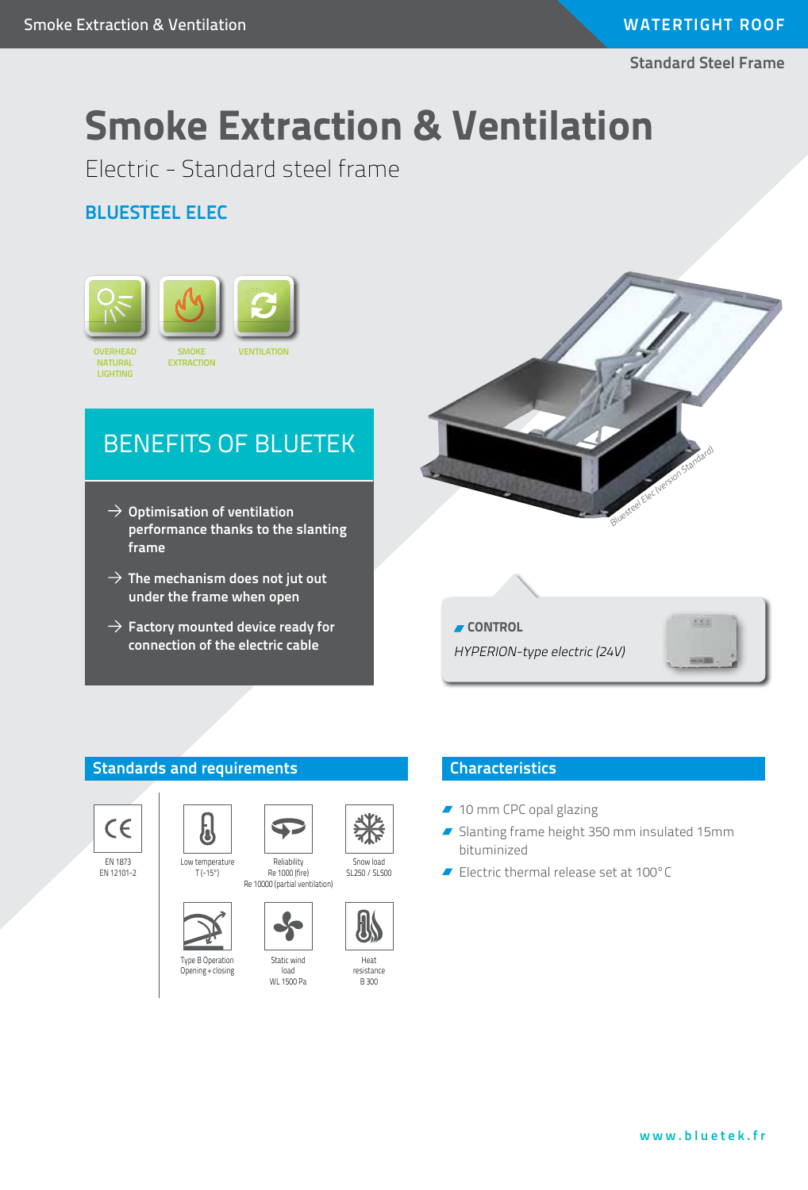**Standard Steel Frame**

# **Smoke Extraction & Ventilation**

Electric - Standard steel frame

### **Bluesteel eLEC**



## BENEFITS OF bluetek

- **Optimisation of ventilation performance thanks to the slanting frame**
- $\rightarrow$  The mechanism does not jut out **under the frame when open**
- $\rightarrow$  Factory mounted device ready for **connection of the electric cable**



**CONTROL** HYPERION-type electric (24V)



#### **Standards and requirements**



EN 1873 EN 12101-2





Type B Operation Opening + closing



### **Characteristics**

- 10 mm CPC opal glazing
- Slanting frame height 350 mm insulated 15mm bituminized
- Electric thermal release set at 100°C



Re 1000 (fire) Re 10000 (partial ventilation)

Reliability



Snow load SL250 / SL500

Heat resistance B 300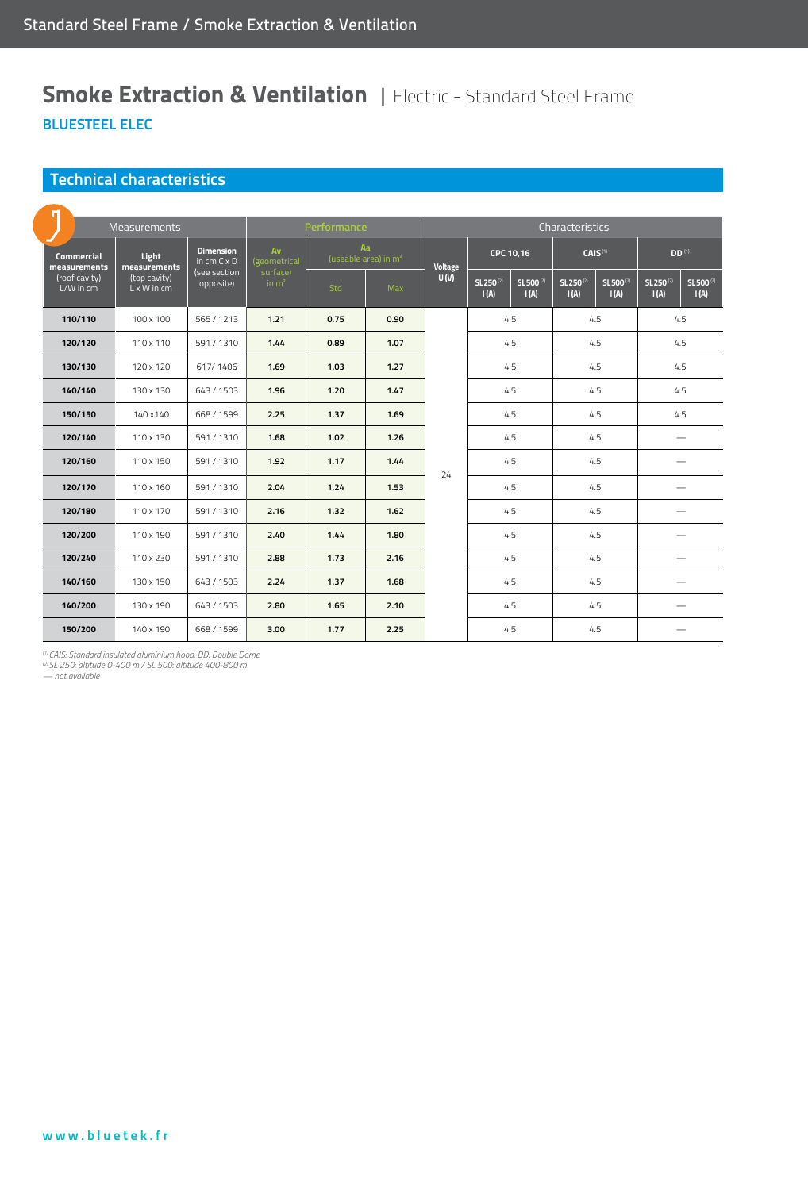### **Smoke Extraction & Ventilation | Electric - Standard Steel Frame BluesteEL eLEC**

#### **Technical characteristics**

| In                                | <b>Measurements</b>                | Performance                            |                     |                                        | Characteristics |         |                                                               |                                                              |                                                                |
|-----------------------------------|------------------------------------|----------------------------------------|---------------------|----------------------------------------|-----------------|---------|---------------------------------------------------------------|--------------------------------------------------------------|----------------------------------------------------------------|
| <b>Commercial</b><br>measurements | Light<br>measurements              | <b>Dimension</b><br>in $cm C \times D$ | Av<br>(geometrical  | Aa<br>(useable area) in m <sup>2</sup> |                 | Voltage | CPC 10,16                                                     | CAIS <sup>(1)</sup>                                          | <b>DD</b> <sup>(1)</sup>                                       |
| (roof cavity)<br>L/W in cm        | (top cavity)<br>$L \times W$ in cm | (see section<br>opposite)              | surface)<br>in $m2$ | Std                                    | <b>Max</b>      | U(V)    | SL250 <sup>(2)</sup><br>SL 500 <sup>(2)</sup><br>I(A)<br>I(A) | SL250 <sup>(2)</sup><br>SL500 <sup>(2)</sup><br>I(A)<br>I(A) | SL 250 <sup>(2)</sup><br>SL 500 <sup>(2)</sup><br>I(A)<br>I(A) |
| 110/110                           | 100 x 100                          | 565 / 1213                             | 1.21                | 0.75                                   | 0.90            | 24      | 4.5                                                           | 4.5                                                          | 4.5                                                            |
| 120/120                           | 110 x 110                          | 591/1310                               | 1.44                | 0.89                                   | 1.07            |         | 4.5                                                           | 4.5                                                          | 4.5                                                            |
| 130/130                           | 120 x 120                          | 617/1406                               | 1.69                | 1.03                                   | 1.27            |         | 4.5                                                           | 4.5                                                          | 4.5                                                            |
| 140/140                           | 130 x 130                          | 643/1503                               | 1.96                | 1.20                                   | 1.47            |         | 4.5                                                           | 4.5                                                          | 4.5                                                            |
| 150/150                           | 140 x 140                          | 668 / 1599                             | 2.25                | 1.37                                   | 1.69            |         | 4.5                                                           | 4.5                                                          | 4.5                                                            |
| 120/140                           | 110 x 130                          | 591 / 1310                             | 1.68                | 1.02                                   | 1.26            |         | 4.5                                                           | 4.5                                                          |                                                                |
| 120/160                           | 110 x 150                          | 591 / 1310                             | 1.92                | 1.17                                   | 1.44            |         | 4.5                                                           | 4.5                                                          |                                                                |
| 120/170                           | 110 x 160                          | 591/1310                               | 2.04                | 1.24                                   | 1.53            |         | 4.5                                                           | 4.5                                                          |                                                                |
| 120/180                           | 110 x 170                          | 591/1310                               | 2.16                | 1.32                                   | 1.62            |         | 4.5                                                           | 4.5                                                          |                                                                |
| 120/200                           | 110 x 190                          | 591/1310                               | 2.40                | 1.44                                   | 1.80            |         | 4.5                                                           | 4.5                                                          |                                                                |
| 120/240                           | 110 x 230                          | 591/1310                               | 2.88                | 1.73                                   | 2.16            |         | 4.5                                                           | 4.5                                                          |                                                                |
| 140/160                           | 130 x 150                          | 643 / 1503                             | 2.24                | 1.37                                   | 1.68            |         | 4.5                                                           | 4.5                                                          |                                                                |
| 140/200                           | 130 x 190                          | 643 / 1503                             | 2.80                | 1.65                                   | 2.10            |         | 4.5                                                           | 4.5                                                          |                                                                |
| 150/200                           | 140 x 190                          | 668 / 1599                             | 3.00                | 1.77                                   | 2.25            |         | 4.5                                                           | 4.5                                                          |                                                                |

*(1) CAIS: Standard insulated aluminium hood, DD: Double Dome (2) SL 250: altitude 0-400 m / SL 500: altitude 400-800 m*

*— not available*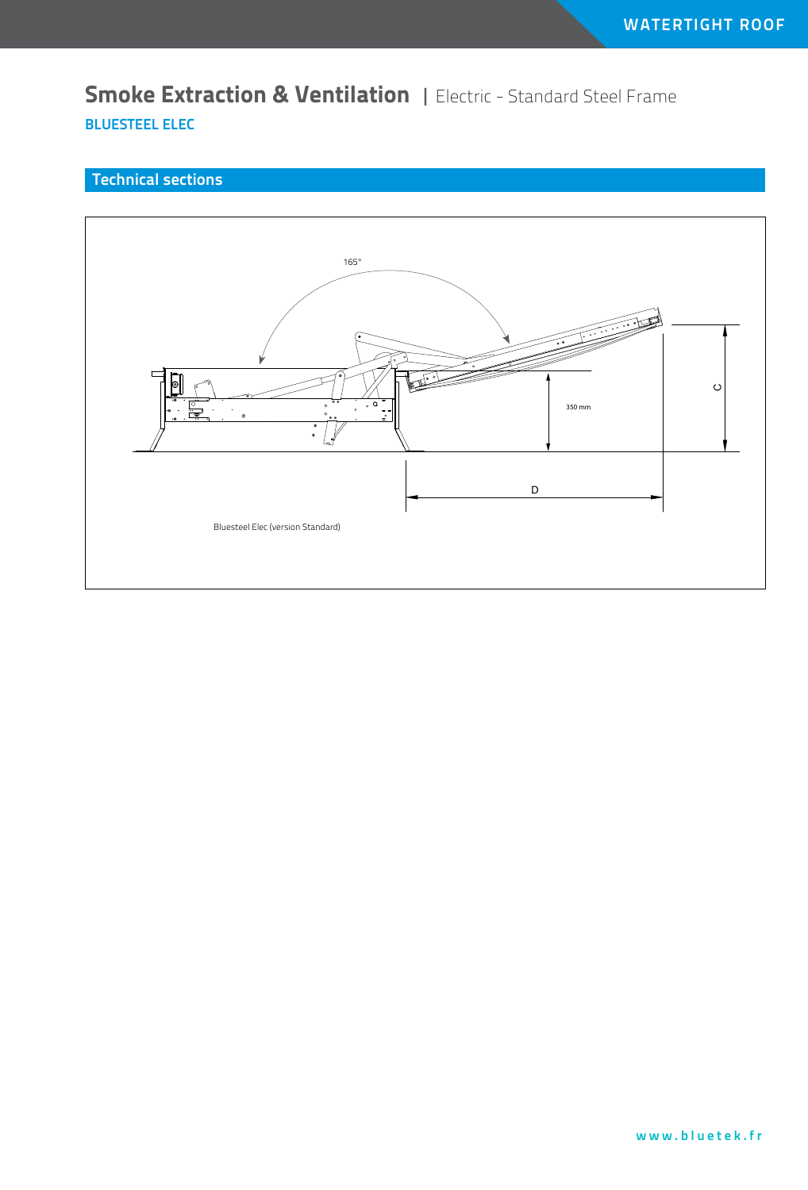**Smoke Extraction & Ventilation | Electric - Standard Steel Frame BluesteEL eLEC**

#### **Technical sections**